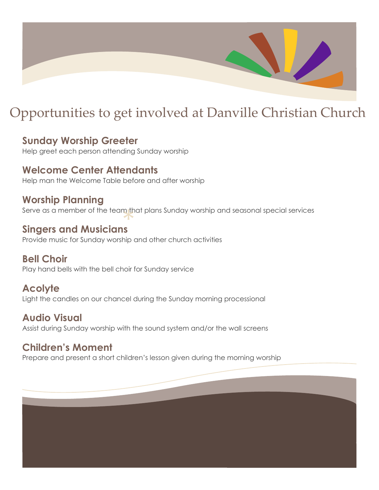

# Opportunities to get involved at Danville Christian Church

## **Sunday Worship Greeter**

Help greet each person attending Sunday worship

#### **Welcome Center Attendants**

Help man the Welcome Table before and after worship

#### **Worship Planning**

Serve as a member of the team that plans Sunday worship and seasonal special services<br>Singers and Musicians

#### **Singers and Musicians**

Provide music for Sunday worship and other church activities

#### **Bell Choir**

Play hand bells with the bell choir for Sunday service

#### **Acolyte**

Light the candles on our chancel during the Sunday morning processional

#### **Audio Visual**

Assist during Sunday worship with the sound system and/or the wall screens

#### **Children's Moment**

Prepare and present a short children's lesson given during the morning worship